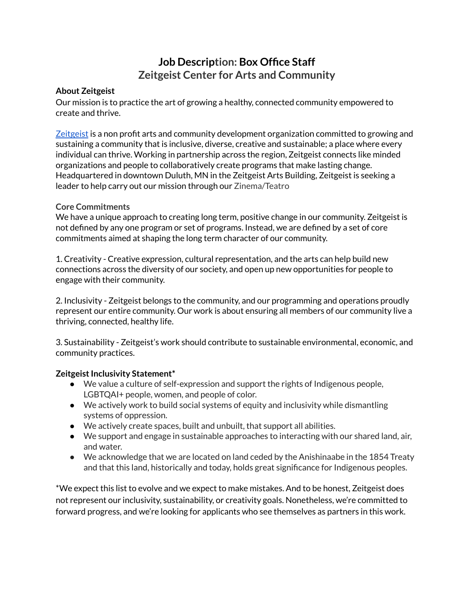# **Job Description: Box Office Staff Zeitgeist Center for Arts and Community**

#### **About Zeitgeist**

Our mission is to practice the art of growing a healthy, connected community empowered to create and thrive.

[Zeitgeist](https://zeitgeistarts.com/) is a non profit arts and community development organization committed to growing and sustaining a community that is inclusive, diverse, creative and sustainable; a place where every individual can thrive. Working in partnership across the region, Zeitgeist connects like minded organizations and people to collaboratively create programs that make lasting change. Headquartered in downtown Duluth, MN in the Zeitgeist Arts Building, Zeitgeist is seeking a leader to help carry out our mission through our Zinema/Teatro

#### **Core Commitments**

We have a unique approach to creating long term, positive change in our community. Zeitgeist is not defined by any one program or set of programs. Instead, we are defined by a set of core commitments aimed at shaping the long term character of our community.

1. Creativity - Creative expression, cultural representation, and the arts can help build new connections across the diversity of our society, and open up new opportunities for people to engage with their community.

2. Inclusivity - Zeitgeist belongs to the community, and our programming and operations proudly represent our entire community. Our work is about ensuring all members of our community live a thriving, connected, healthy life.

3. Sustainability - Zeitgeist's work should contribute to sustainable environmental, economic, and community practices.

### **Zeitgeist Inclusivity Statement\***

- We value a culture of self-expression and support the rights of Indigenous people, LGBTQAI+ people, women, and people of color.
- We actively work to build social systems of equity and inclusivity while dismantling systems of oppression.
- We actively create spaces, built and unbuilt, that support all abilities.
- We support and engage in sustainable approaches to interacting with our shared land, air, and water.
- We acknowledge that we are located on land ceded by the Anishinaabe in the 1854 Treaty and that this land, historically and today, holds great significance for Indigenous peoples.

\*We expect this list to evolve and we expect to make mistakes. And to be honest, Zeitgeist does not represent our inclusivity, sustainability, or creativity goals. Nonetheless, we're committed to forward progress, and we're looking for applicants who see themselves as partners in this work.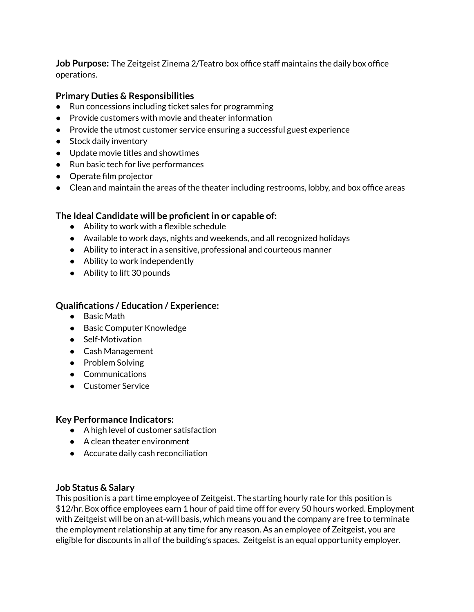**Job Purpose:** The Zeitgeist Zinema 2/Teatro box office staff maintains the daily box office operations.

### **Primary Duties & Responsibilities**

- Run concessions including ticket sales for programming
- Provide customers with movie and theater information
- Provide the utmost customer service ensuring a successful guest experience
- Stock daily inventory
- Update movie titles and showtimes
- Run basic tech for live performances
- Operate film projector
- Clean and maintain the areas of the theater including restrooms, lobby, and box office areas

### **The Ideal Candidate will be proficientin or capable of:**

- Ability to work with a flexible schedule
- Available to work days, nights and weekends, and all recognized holidays
- Ability to interact in a sensitive, professional and courteous manner
- Ability to work independently
- Ability to lift 30 pounds

### **Qualifications / Education / Experience:**

- Basic Math
- Basic Computer Knowledge
- Self-Motivation
- Cash Management
- Problem Solving
- Communications
- Customer Service

#### **Key Performance Indicators:**

- A high level of customer satisfaction
- A clean theater environment
- Accurate daily cash reconciliation

### **Job Status & Salary**

This position is a part time employee of Zeitgeist. The starting hourly rate for this position is \$12/hr. Box office employees earn 1 hour of paid time off for every 50 hours worked. Employment with Zeitgeist will be on an at-will basis, which means you and the company are free to terminate the employment relationship at any time for any reason. As an employee of Zeitgeist, you are eligible for discounts in all of the building's spaces. Zeitgeist is an equal opportunity employer.